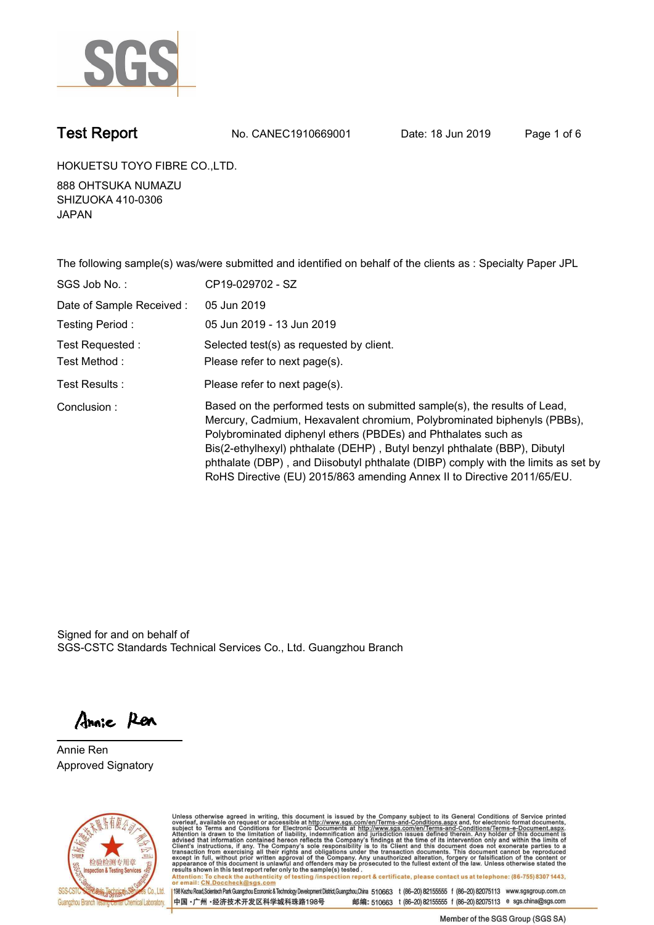

**Test Report. No. CANEC1910669001** Date: 18 Jun 2019 Page 1 of 6

**HOKUETSU TOYO FIBRE CO.,LTD..**

**888 OHTSUKA NUMAZU SHIZUOKA 410-0306 JAPAN.**

**The following sample(s) was/were submitted and identified on behalf of the clients as : Specialty Paper JPL.**

| SGS Job No.:              | CP19-029702 - SZ                                                                                                                                                                                                                                                                                                                                                                                                                                                   |
|---------------------------|--------------------------------------------------------------------------------------------------------------------------------------------------------------------------------------------------------------------------------------------------------------------------------------------------------------------------------------------------------------------------------------------------------------------------------------------------------------------|
| Date of Sample Received : | 05 Jun 2019                                                                                                                                                                                                                                                                                                                                                                                                                                                        |
| Testing Period:           | 05 Jun 2019 - 13 Jun 2019                                                                                                                                                                                                                                                                                                                                                                                                                                          |
| Test Requested:           | Selected test(s) as requested by client.                                                                                                                                                                                                                                                                                                                                                                                                                           |
| Test Method :             | Please refer to next page(s).                                                                                                                                                                                                                                                                                                                                                                                                                                      |
| Test Results :            | Please refer to next page(s).                                                                                                                                                                                                                                                                                                                                                                                                                                      |
| Conclusion:               | Based on the performed tests on submitted sample(s), the results of Lead,<br>Mercury, Cadmium, Hexavalent chromium, Polybrominated biphenyls (PBBs),<br>Polybrominated diphenyl ethers (PBDEs) and Phthalates such as<br>Bis(2-ethylhexyl) phthalate (DEHP), Butyl benzyl phthalate (BBP), Dibutyl<br>phthalate (DBP), and Diisobutyl phthalate (DIBP) comply with the limits as set by<br>RoHS Directive (EU) 2015/863 amending Annex II to Directive 2011/65/EU. |

Signed for and on behalf of SGS-CSTC Standards Technical Services Co., Ltd. Guangzhou Branch.

Annie Ren

**Annie Ren. Approved Signatory.**



Unless otherwise agreed in writing, this document is issued by the Company subject to its General Conditions of Service printed<br>overleaf, available on request or accessible at http://www.sgs.com/en/Terms-and-Conditions.asp Attention: To check the authenticity of testing /inspection report & certificate, please contact us at telephone: (86-755) 8307 1443,<br>Attention: To check the authenticity of testing /inspection report & certificate, please

198 Kezhu Road,Scientech Park Guangzhou Economic & Technology Development District,Guangzhou,China 510663 t (86-20) 82155555 f (86-20) 82075113 www.sgsgroup.com.cn 中国·广州·经济技术开发区科学城科珠路198号 邮编: 510663 t (86-20) 82155555 f (86-20) 82075113 e sgs.china@sgs.com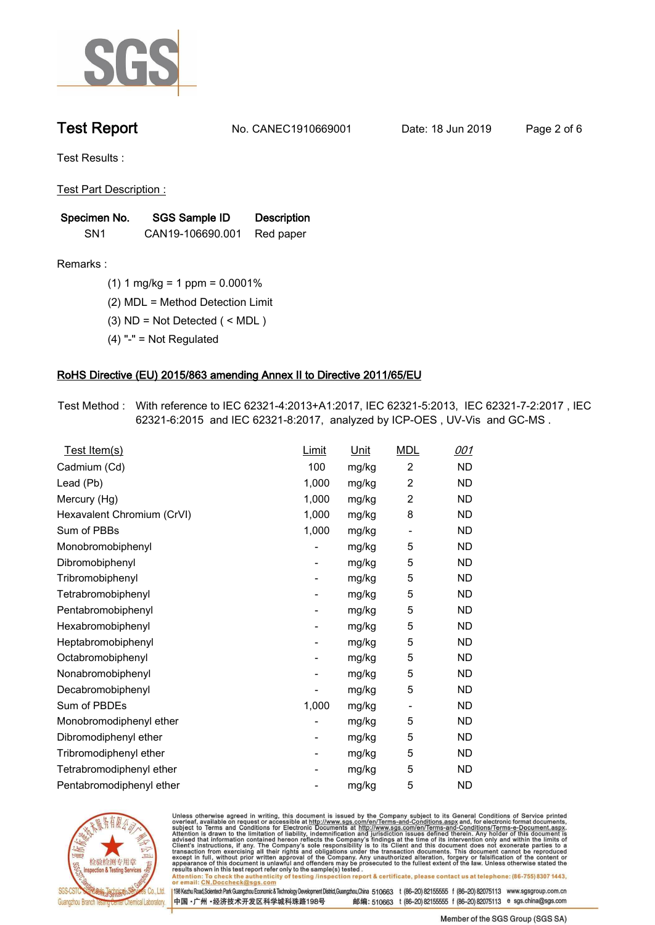

**Test Report. No. CANEC1910669001** Date: 18 Jun 2019 Page 2 of 6

**Test Results :.**

**Test Part Description :.**

| Specimen No.    | SGS Sample ID    | <b>Description</b> |  |
|-----------------|------------------|--------------------|--|
| SN <sub>1</sub> | CAN19-106690.001 | Red paper          |  |

**Remarks :.(1) 1 mg/kg = 1 ppm = 0.0001%.**

**(2) MDL = Method Detection Limit.**

**(3) ND = Not Detected ( < MDL ).**

**(4) "-" = Not Regulated.**

### **RoHS Directive (EU) 2015/863 amending Annex II to Directive 2011/65/EU.**

**Test Method :. With reference to IEC 62321-4:2013+A1:2017, IEC 62321-5:2013, IEC 62321-7-2:2017 , IEC 62321-6:2015 and IEC 62321-8:2017, analyzed by ICP-OES , UV-Vis and GC-MS ..**

| Test Item(s)               | <u>Limit</u>             | <u>Unit</u> | <b>MDL</b>               | <u>001</u> |
|----------------------------|--------------------------|-------------|--------------------------|------------|
| Cadmium (Cd)               | 100                      | mg/kg       | 2                        | <b>ND</b>  |
| Lead (Pb)                  | 1,000                    | mg/kg       | $\overline{2}$           | <b>ND</b>  |
| Mercury (Hg)               | 1,000                    | mg/kg       | 2                        | <b>ND</b>  |
| Hexavalent Chromium (CrVI) | 1,000                    | mg/kg       | 8                        | <b>ND</b>  |
| Sum of PBBs                | 1,000                    | mg/kg       | $\overline{\phantom{a}}$ | <b>ND</b>  |
| Monobromobiphenyl          |                          | mg/kg       | 5                        | <b>ND</b>  |
| Dibromobiphenyl            | $\overline{\phantom{a}}$ | mg/kg       | 5                        | <b>ND</b>  |
| Tribromobiphenyl           | $\overline{\phantom{a}}$ | mg/kg       | 5                        | <b>ND</b>  |
| Tetrabromobiphenyl         | $\overline{\phantom{a}}$ | mg/kg       | 5                        | <b>ND</b>  |
| Pentabromobiphenyl         | -                        | mg/kg       | 5                        | <b>ND</b>  |
| Hexabromobiphenyl          |                          | mg/kg       | 5                        | <b>ND</b>  |
| Heptabromobiphenyl         | -                        | mg/kg       | 5                        | <b>ND</b>  |
| Octabromobiphenyl          | ۰                        | mg/kg       | 5                        | <b>ND</b>  |
| Nonabromobiphenyl          |                          | mg/kg       | 5                        | <b>ND</b>  |
| Decabromobiphenyl          |                          | mg/kg       | 5                        | <b>ND</b>  |
| Sum of PBDEs               | 1,000                    | mg/kg       | $\overline{\phantom{a}}$ | <b>ND</b>  |
| Monobromodiphenyl ether    |                          | mg/kg       | 5                        | <b>ND</b>  |
| Dibromodiphenyl ether      | $\overline{\phantom{a}}$ | mg/kg       | 5                        | <b>ND</b>  |
| Tribromodiphenyl ether     | $\overline{\phantom{a}}$ | mg/kg       | 5                        | <b>ND</b>  |
| Tetrabromodiphenyl ether   |                          | mg/kg       | 5                        | <b>ND</b>  |
| Pentabromodiphenyl ether   |                          | mg/kg       | 5                        | <b>ND</b>  |
|                            |                          |             |                          |            |



Unless otherwise agreed in writing, this document is issued by the Company subject to its General Conditions of Service printed<br>overleaf, available on request or accessible at http://www.sgs.com/en/Terms-and-Conditions.asp Attention: To check the authenticity of testing /inspection report & certificate, please contact us at telephone: (86-755) 8307 1443,<br>Attention: To check the authenticity of testing /inspection report & certificate, please

198 Kezhu Road,Scientech Park Guangzhou Economic & Technology Development District,Guangzhou,China 510663 t (86-20) 82155555 f (86-20) 82075113 www.sgsgroup.com.cn 邮编: 510663 t (86-20) 82155555 f (86-20) 82075113 e sgs.china@sgs.com 中国·广州·经济技术开发区科学城科珠路198号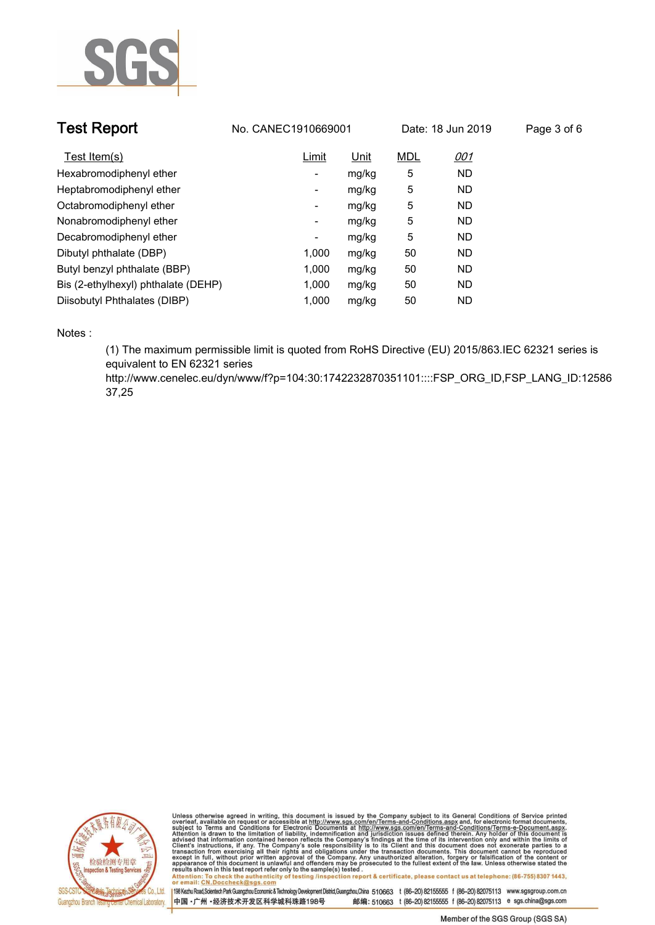

| <b>Test Report</b>                  | No. CANEC1910669001 |       | Date: 18 Jun 2019 |            | Page 3 of 6 |  |
|-------------------------------------|---------------------|-------|-------------------|------------|-------------|--|
| Test Item(s)                        | Limit               | Unit  | <b>MDL</b>        | <u>001</u> |             |  |
| Hexabromodiphenyl ether             | -                   | mg/kg | 5                 | <b>ND</b>  |             |  |
| Heptabromodiphenyl ether            | ۰                   | mg/kg | 5                 | <b>ND</b>  |             |  |
| Octabromodiphenyl ether             | Ξ.                  | mg/kg | 5                 | <b>ND</b>  |             |  |
| Nonabromodiphenyl ether             | -                   | mg/kg | 5                 | <b>ND</b>  |             |  |
| Decabromodiphenyl ether             | ٠                   | mg/kg | 5                 | <b>ND</b>  |             |  |
| Dibutyl phthalate (DBP)             | 1.000               | mg/kg | 50                | <b>ND</b>  |             |  |
| Butyl benzyl phthalate (BBP)        | 1.000               | mg/kg | 50                | <b>ND</b>  |             |  |
| Bis (2-ethylhexyl) phthalate (DEHP) | 1.000               | mg/kg | 50                | <b>ND</b>  |             |  |
| Diisobutyl Phthalates (DIBP)        | 1.000               | mg/kg | 50                | <b>ND</b>  |             |  |

**Notes :.**

**(1) The maximum permissible limit is quoted from RoHS Directive (EU) 2015/863.IEC 62321 series is equivalent to EN 62321 series** 

**http://www.cenelec.eu/dyn/www/f?p=104:30:1742232870351101::::FSP\_ORG\_ID,FSP\_LANG\_ID:12586 37,25.**



Unless otherwise agreed in writing, this document is issued by the Company subject to its General Conditions of Service printed<br>overleaf, available on request or accessible at http://www.sgs.com/en/Terms-and-Conditions.asp Attention: To check the authenticity of testing /inspection report & certificate, please contact us at telephone: (86-755) 8307 1443,<br>Attention: To check the authenticity of testing /inspection report & certificate, please

198 Kezhu Road,Scientech Park Guangzhou Economic & Technology Development District,Guangzhou,China 510663 t (86-20) 82155555 f (86-20) 82075113 www.sgsgroup.com.cn 中国·广州·经济技术开发区科学城科珠路198号 邮编: 510663 t (86-20) 82155555 f (86-20) 82075113 e sgs.china@sgs.com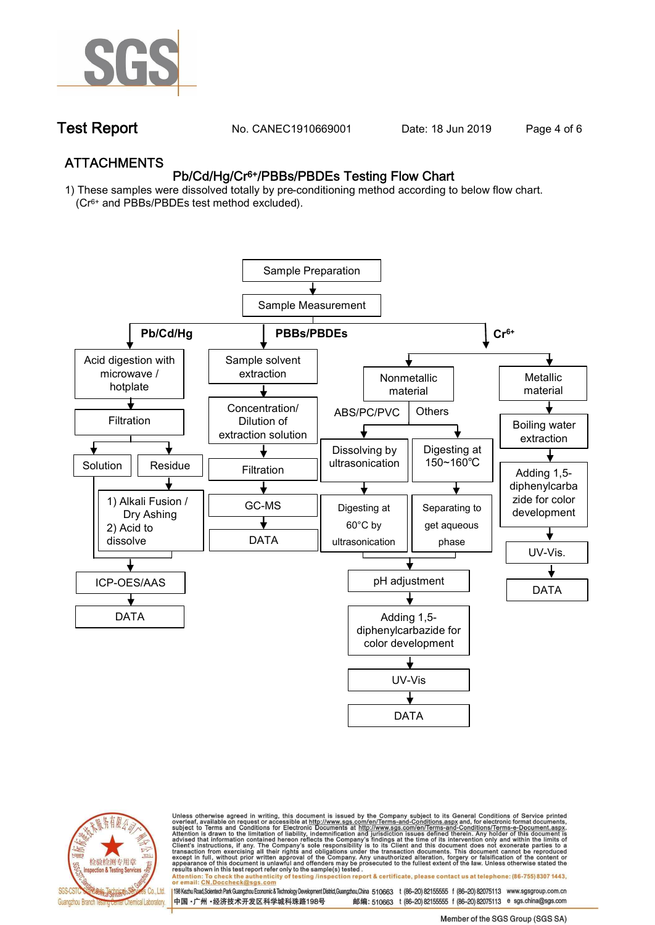

**Test Report. No. CANEC1910669001** Date: 18 Jun 2019 Page 4 of 6

## **ATTACHMENTS Pb/Cd/Hg/Cr6+/PBBs/PBDEs Testing Flow Chart**

**1) These samples were dissolved totally by pre-conditioning method according to below flow chart. (Cr6+ and PBBs/PBDEs test method excluded).**





Unless otherwise agreed in writing, this document is issued by the Company subject to its General Conditions of Service printed<br>overleaf, available on request or accessible at http://www.sgs.com/en/Terms-and-Conditions.asp résults shown in this test report refer only to the sample(s) tésted .<br>Attention: To check the authenticity of testing /inspection report & certificate, please contact us at telephone: (86-755) 8307 1443,<br>or email: <u>CN.Doc</u>

198 Kezhu Road,Scientech Park Guangzhou Economic & Technology Development District,Guangzhou,China 510663 t (86-20) 82155555 f (86-20) 82075113 www.sgsgroup.com.cn 邮编: 510663 t (86-20) 82155555 f (86-20) 82075113 e sgs.china@sgs.com 中国·广州·经济技术开发区科学城科珠路198号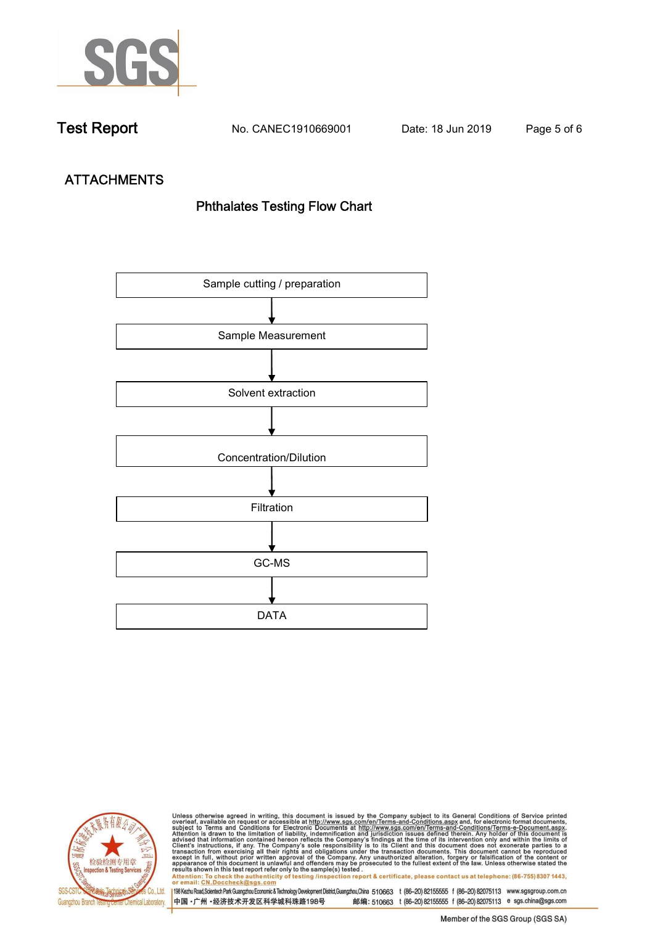

**Test Report. No. CANEC1910669001** Date: 18 Jun 2019 Page 5 of 6

# **ATTACHMENTS Phthalates Testing Flow Chart**





Unless otherwise agreed in writing, this document is issued by the Company subject to its General Conditions of Service printed<br>overleaf, available on request or accessible at http://www.sgs.com/en/Terms-and-Conditions.asp results shown in this test report refer only to the sample(s) tested .<br>Attention: To check the authenticity of testing /inspection report & certificate, please contact us at telephone: (86-755) 8307 1443,<br>or email: <u>CN.Doc</u>

198 Kezhu Road,Scientech Park Guangzhou Economic & Technology Development District,Guangzhou,China 510663 t (86-20) 82155555 f (86-20) 82075113 www.sgsgroup.com.cn 中国·广州·经济技术开发区科学城科珠路198号 邮编: 510663 t (86-20) 82155555 f (86-20) 82075113 e sgs.china@sgs.com